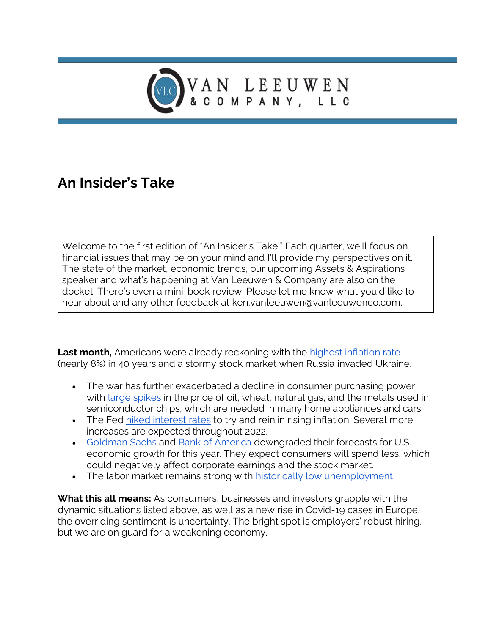

## **An Insider's Take**

Welcome to the first edition of "An Insider's Take." Each quarter, we'll focus on financial issues that may be on your mind and I'll provide my perspectives on it. The state of the market, economic trends, our upcoming Assets & Aspirations speaker and what's happening at Van Leeuwen & Company are also on the docket. There's even a mini-book review. Please let me know what you'd like to hear about and any other feedback at ken.vanleeuwen@vanleeuwenco.com.

**Last month,** Americans were already reckoning with the [highest inflation rate](https://www.nytimes.com/2022/03/10/business/economy/cpi-inflation-february-2022.html) (nearly 8%) in 40 years and a stormy stock market when Russia invaded Ukraine.

- The war has further exacerbated a decline in consumer purchasing power with [large spikes](https://www.atlanticcouncil.org/blogs/econographics/beyond-oil-natural-gas-and-wheat-the-commodity-shock-of-russia-ukraine-crisis/) in the price of oil, wheat, natural gas, and the metals used in semiconductor chips, which are needed in many home appliances and cars.
- The Fed [hiked interest rates](https://www.reuters.com/world/us/all-systems-go-feds-liftoff-us-interest-rates-2022-03-16/) to try and rein in rising inflation. Several more increases are expected throughout 2022.
- [Goldman Sachs](https://www.reuters.com/world/us/goldman-sachs-cuts-us-growth-forecast-commodity-prices-bite-2022-03-11/) and [Bank of America](https://fortune.com/2022/03/08/bank-of-america-russia-ukraine-gdp-growth-oil-prices/) downgraded their forecasts for U.S. economic growth for this year. They expect consumers will spend less, which could negatively affect corporate earnings and the stock market.
- The labor market remains strong with [historically low unemployment.](https://www.wsj.com/articles/february-jobs-report-unemployment-rate-2022-11646343310)

**What this all means:** As consumers, businesses and investors grapple with the dynamic situations listed above, as well as a new rise in Covid-19 cases in Europe, the overriding sentiment is uncertainty. The bright spot is employers' robust hiring, but we are on guard for a weakening economy.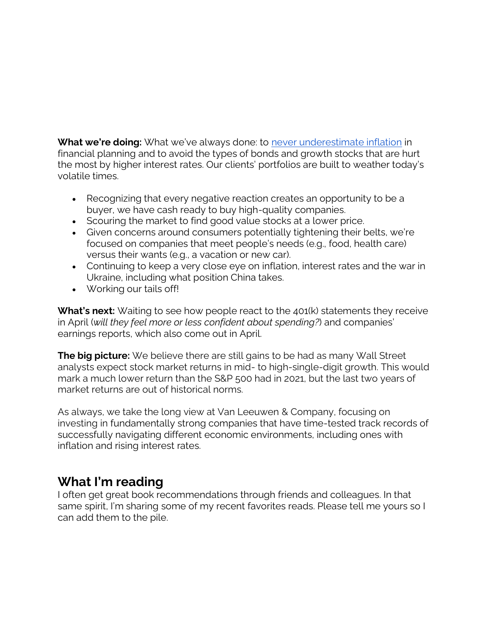**What we're doing:** What we've always done: to [never underestimate inflation](https://www.thinkadvisor.com/2022/03/17/underestimating-inflation-is-a-big-retirement-mistake/) in financial planning and to avoid the types of bonds and growth stocks that are hurt the most by higher interest rates. Our clients' portfolios are built to weather today's volatile times.

- Recognizing that every negative reaction creates an opportunity to be a buyer, we have cash ready to buy high-quality companies.
- Scouring the market to find good value stocks at a lower price.
- Given concerns around consumers potentially tightening their belts, we're focused on companies that meet people's needs (e.g., food, health care) versus their wants (e.g., a vacation or new car).
- Continuing to keep a very close eye on inflation, interest rates and the war in Ukraine, including what position China takes.
- Working our tails off!

**What's next:** Waiting to see how people react to the 401(k) statements they receive in April (*will they feel more or less confident about spending?*) and companies' earnings reports, which also come out in April.

**The big picture:** We believe there are still gains to be had as many Wall Street analysts expect stock market returns in mid- to high-single-digit growth. This would mark a much lower return than the S&P 500 had in 2021, but the last two years of market returns are out of historical norms.

As always, we take the long view at Van Leeuwen & Company, focusing on investing in fundamentally strong companies that have time-tested track records of successfully navigating different economic environments, including ones with inflation and rising interest rates.

## **What I'm reading**

I often get great book recommendations through friends and colleagues. In that same spirit, I'm sharing some of my recent favorites reads. Please tell me yours so I can add them to the pile.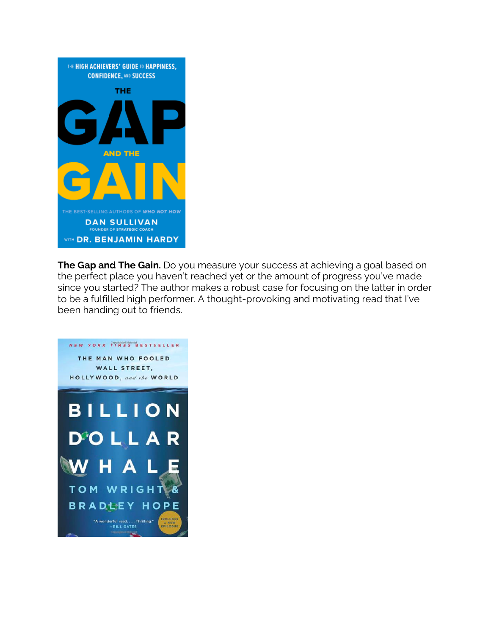

**The Gap and The Gain.** Do you measure your success at achieving a goal based on the perfect place you haven't reached yet or the amount of progress you've made since you started? The author makes a robust case for focusing on the latter in order to be a fulfilled high performer. A thought-provoking and motivating read that I've been handing out to friends.

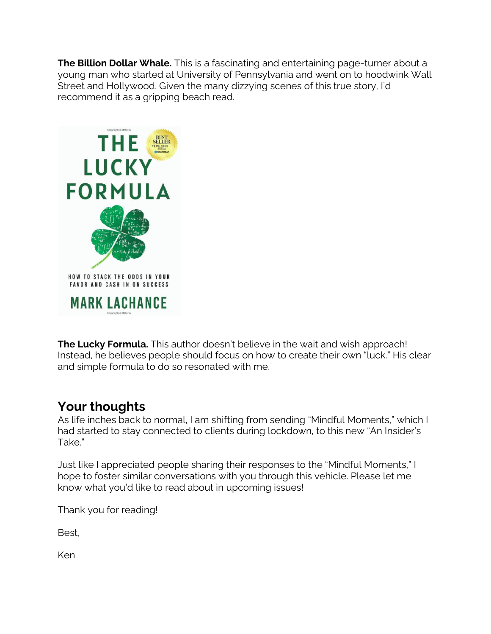**The Billion Dollar Whale.** This is a fascinating and entertaining page-turner about a young man who started at University of Pennsylvania and went on to hoodwink Wall Street and Hollywood. Given the many dizzying scenes of this true story, I'd recommend it as a gripping beach read.



**The Lucky Formula.** This author doesn't believe in the wait and wish approach! Instead, he believes people should focus on how to create their own "luck." His clear and simple formula to do so resonated with me.

## **Your thoughts**

As life inches back to normal, I am shifting from sending "Mindful Moments," which I had started to stay connected to clients during lockdown, to this new "An Insider's Take."

Just like I appreciated people sharing their responses to the "Mindful Moments," I hope to foster similar conversations with you through this vehicle. Please let me know what you'd like to read about in upcoming issues!

Thank you for reading!

Best,

Ken